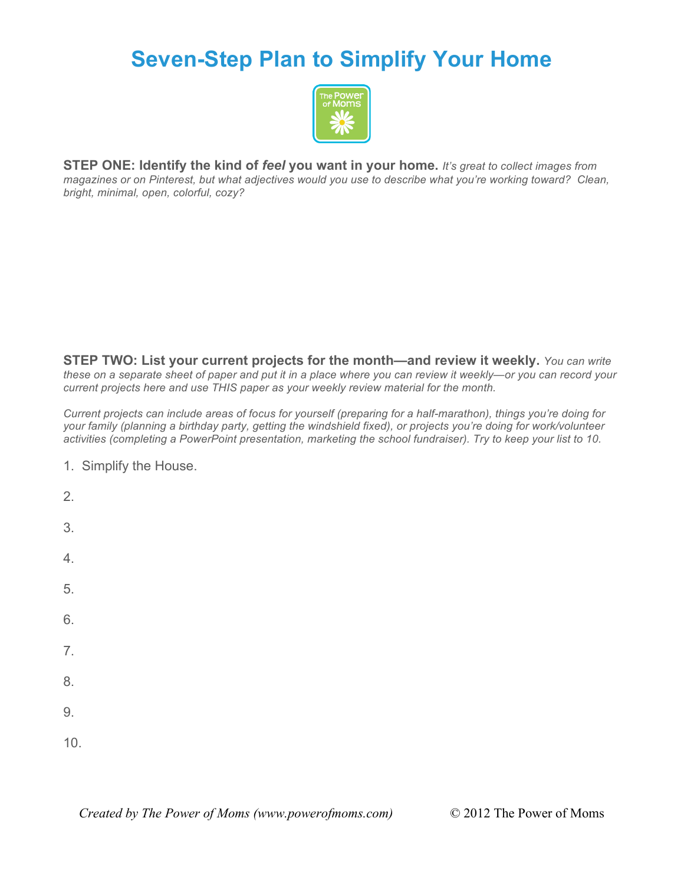## **Seven-Step Plan to Simplify Your Home**



**STEP ONE: Identify the kind of** *feel* **you want in your home.** *It's great to collect images from magazines or on Pinterest, but what adjectives would you use to describe what you're working toward? Clean, bright, minimal, open, colorful, cozy?*

**STEP TWO: List your current projects for the month—and review it weekly.** *You can write these on a separate sheet of paper and put it in a place where you can review it weekly—or you can record your current projects here and use THIS paper as your weekly review material for the month.* 

*Current projects can include areas of focus for yourself (preparing for a half-marathon), things you're doing for your family (planning a birthday party, getting the windshield fixed), or projects you're doing for work/volunteer activities (completing a PowerPoint presentation, marketing the school fundraiser). Try to keep your list to 10.* 

1. Simplify the House.

2. 3. 4. 5. 6. 7. 8. 9. 10.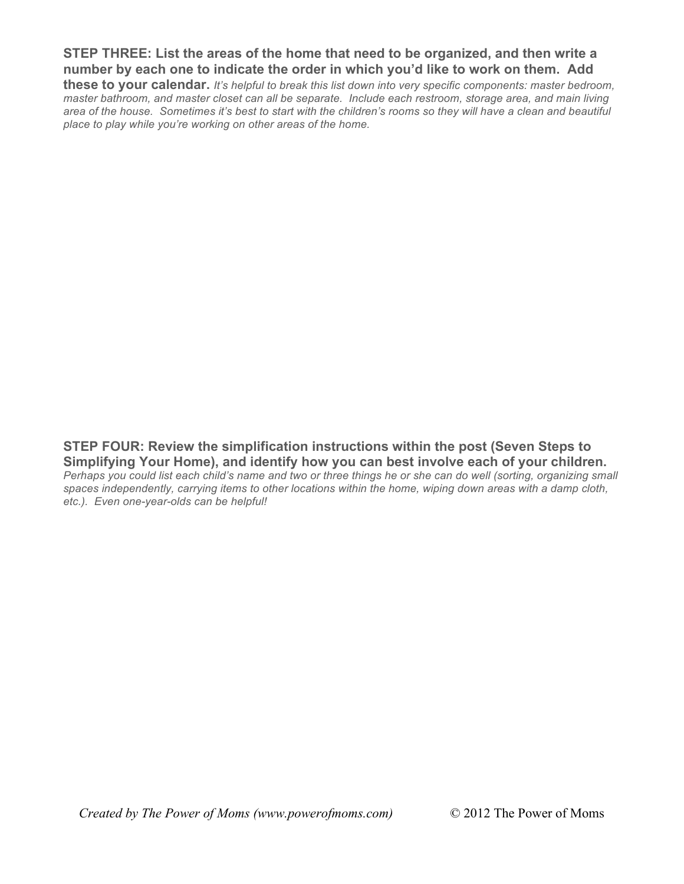**STEP THREE: List the areas of the home that need to be organized, and then write a number by each one to indicate the order in which you'd like to work on them. Add these to your calendar.** *It's helpful to break this list down into very specific components: master bedroom,* 

*master bathroom, and master closet can all be separate. Include each restroom, storage area, and main living area of the house. Sometimes it's best to start with the children's rooms so they will have a clean and beautiful place to play while you're working on other areas of the home.*

**STEP FOUR: Review the simplification instructions within the post (Seven Steps to Simplifying Your Home), and identify how you can best involve each of your children.** 

*Perhaps you could list each child's name and two or three things he or she can do well (sorting, organizing small*  spaces independently, carrying items to other locations within the home, wiping down areas with a damp cloth, *etc.). Even one-year-olds can be helpful!*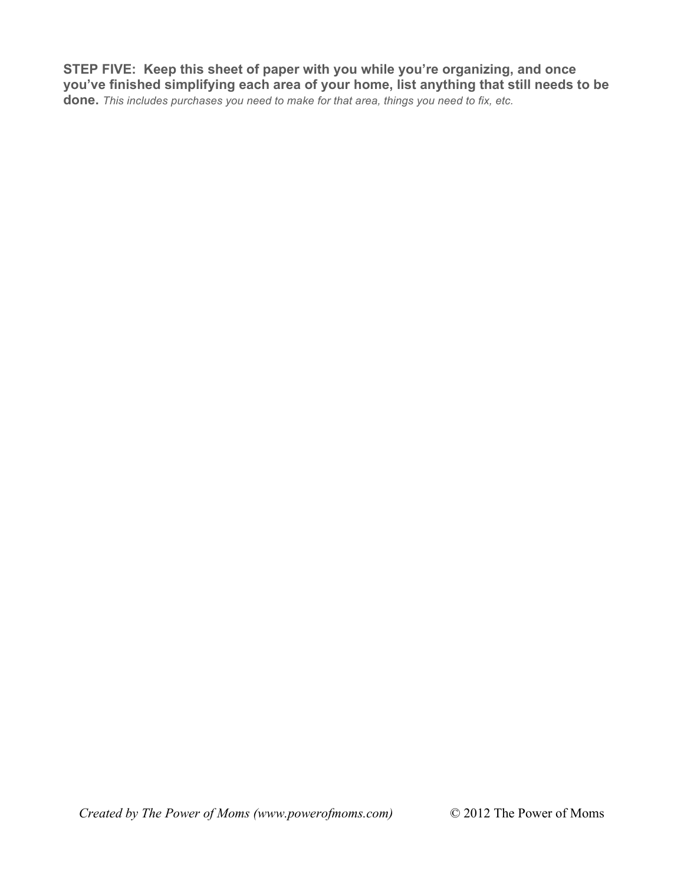**STEP FIVE: Keep this sheet of paper with you while you're organizing, and once you've finished simplifying each area of your home, list anything that still needs to be done.** *This includes purchases you need to make for that area, things you need to fix, etc.*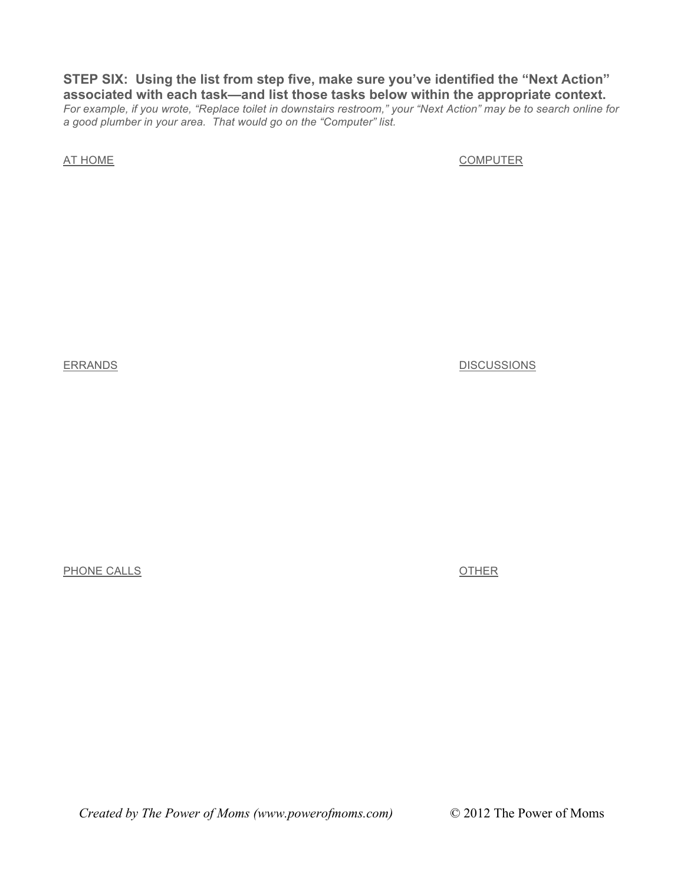**STEP SIX: Using the list from step five, make sure you've identified the "Next Action" associated with each task—and list those tasks below within the appropriate context.**  *For example, if you wrote, "Replace toilet in downstairs restroom," your "Next Action" may be to search online for a good plumber in your area. That would go on the "Computer" list.*

AT HOME COMPUTER

ERRANDS DISCUSSIONS

PHONE CALLS **OTHER** 

*Created by The Power of Moms (www.powerofmoms.com)* © 2012 The Power of Moms